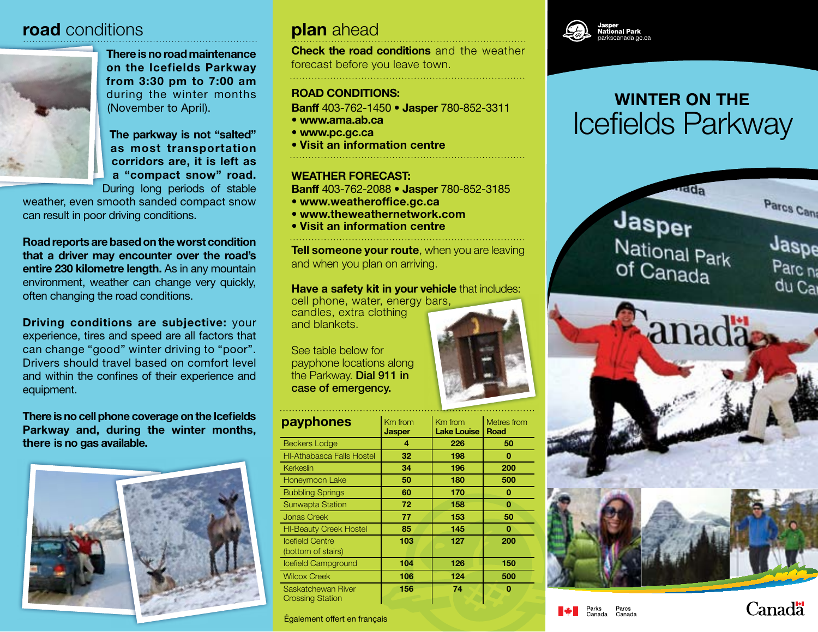## **road** conditions **plan** ahead



There is no road maintenance on the Icefields Parkway from 3:30 pm to 7:00 am during the winter months (November to April).

The parkway is not "salted" as most transportation corridors are, it is left as a "compact snow" road. During long periods of stable

weather, even smooth sanded compact snow can result in poor driving conditions.

Road reports are based on the worst condition that a driver may encounter over the road's entire 230 kilometre length. As in any mountain environment, weather can change very quickly, often changing the road conditions.

**Driving conditions are subjective: your** experience, tires and speed are all factors that can change "good" winter driving to "poor". Drivers should travel based on comfort level and within the confines of their experience and equipment.

There is no cell phone coverage on the Icefields Parkway and, during the winter months, there is no gas available.



**Check the road conditions** and the weather forecast before you leave town.

## Road Conditions:

Banff 403-762-1450 • Jasper 780-852-3311

- www.ama.ab.ca
- www.pc.gc.ca
- Visit an information centre

## Weather Forecast:

Banff 403-762-2088 • Jasper 780-852-3185

- www.weatheroffice.gc.ca
- www.theweathernetwork.com
- Visit an information centre

**Tell someone your route, when you are leaving** and when you plan on arriving.

### Have a safety kit in your vehicle that includes:

cell phone, water, energy bars, candles, extra clothing and blankets.

See table below for payphone locations along the Parkway. Dial 911 in case of emergency.

| payphones                                     | Km from<br>Km from<br><b>Lake Louise</b><br><b>Jasper</b> |     | Metres from<br>Road |  |
|-----------------------------------------------|-----------------------------------------------------------|-----|---------------------|--|
| <b>Beckers Lodge</b>                          | 4                                                         | 226 | 50                  |  |
| <b>HI-Athabasca Falls Hostel</b>              | 32<br>198                                                 |     | 0                   |  |
| Kerkeslin                                     | 34                                                        | 196 | 200                 |  |
| Honeymoon Lake                                | 50<br>180                                                 |     | 500                 |  |
| <b>Bubbling Springs</b>                       | 170<br>60                                                 |     | 0                   |  |
| <b>Sunwapta Station</b>                       | 72                                                        | 158 | 0                   |  |
| <b>Jonas Creek</b>                            | 77<br>153                                                 |     | 50                  |  |
| <b>HI-Beauty Creek Hostel</b>                 | 85                                                        | 145 |                     |  |
| <b>Icefield Centre</b><br>(bottom of stairs)  | 103                                                       | 127 | 200                 |  |
| Icefield Campground                           | 104<br>126                                                |     | 150                 |  |
| <b>Wilcox Creek</b>                           | 106                                                       | 124 | 500                 |  |
| Saskatchewan River<br><b>Crossing Station</b> | 156                                                       | 74  | 0                   |  |



# Icefields Parkway winter on the



Également offert en français